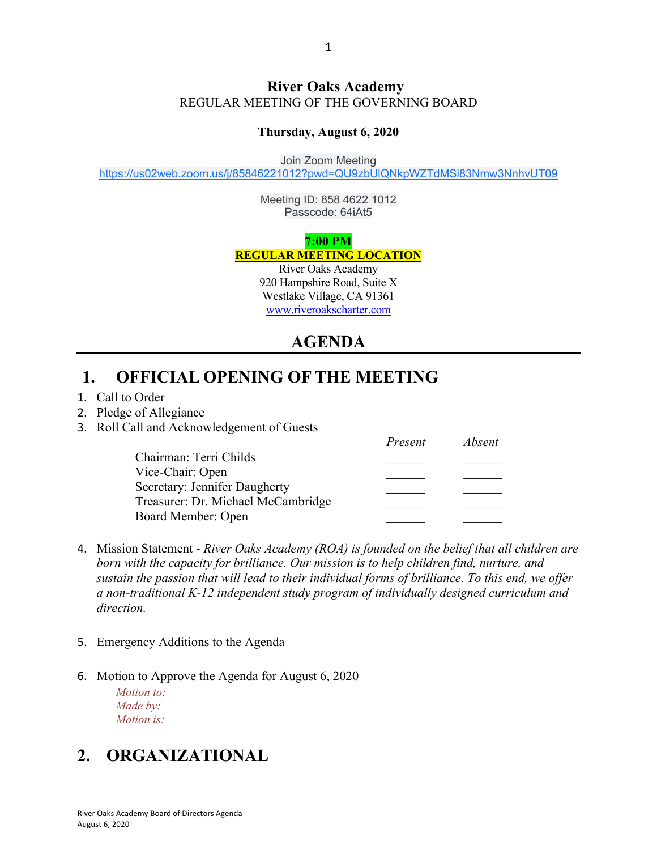#### **River Oaks Academy** REGULAR MEETING OF THE GOVERNING BOARD

#### **Thursday, August 6, 2020**

Join Zoom Meeting

https://us02web.zoom.us/j/85846221012?pwd=QU9zbUlQNkpWZTdMSi83Nmw3NnhvUT09

Meeting ID: 858 4622 1012 Passcode: 64iAt5

**7:00 PM**

**REGULAR MEETING LOCATION**

River Oaks Academy 920 Hampshire Road, Suite X Westlake Village, CA 91361 www.riveroakscharter.com

## **AGENDA**

#### **1. OFFICIAL OPENING OF THE MEETING**

- 1. Call to Order
- 2. Pledge of Allegiance
- 3. Roll Call and Acknowledgement of Guests

|                                    | Present | Absent |
|------------------------------------|---------|--------|
| Chairman: Terri Childs             |         |        |
| Vice-Chair: Open                   |         |        |
| Secretary: Jennifer Daugherty      |         |        |
| Treasurer: Dr. Michael McCambridge |         |        |
| Board Member: Open                 |         |        |

- 4. Mission Statement *River Oaks Academy (ROA) is founded on the belief that all children are born with the capacity for brilliance. Our mission is to help children find, nurture, and sustain the passion that will lead to their individual forms of brilliance. To this end, we offer a non-traditional K-12 independent study program of individually designed curriculum and direction.*
- 5. Emergency Additions to the Agenda
- 6. Motion to Approve the Agenda for August 6, 2020

*Motion to: Made by: Motion is:*

# **2. ORGANIZATIONAL**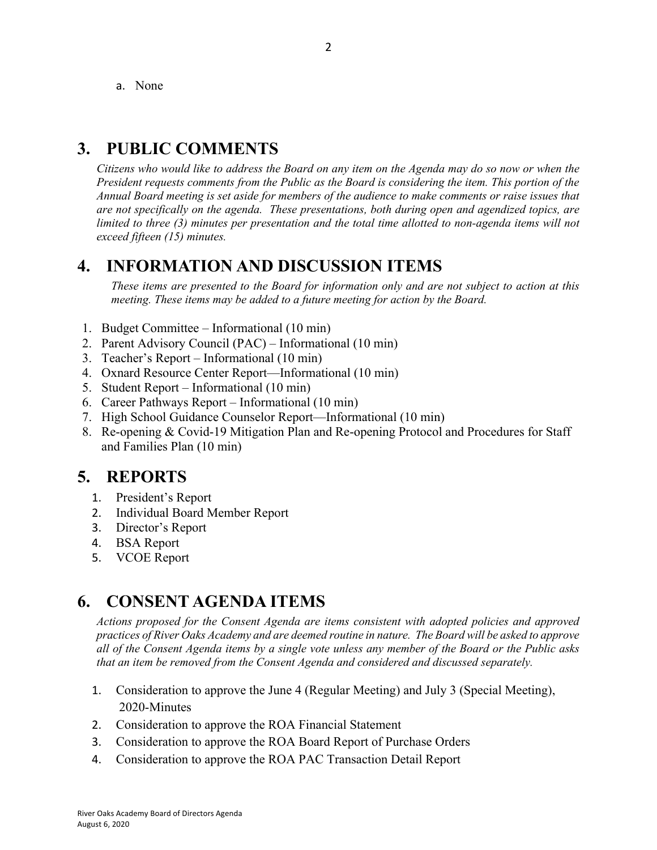a. None

## **3. PUBLIC COMMENTS**

*Citizens who would like to address the Board on any item on the Agenda may do so now or when the President requests comments from the Public as the Board is considering the item. This portion of the Annual Board meeting is set aside for members of the audience to make comments or raise issues that are not specifically on the agenda. These presentations, both during open and agendized topics, are limited to three (3) minutes per presentation and the total time allotted to non-agenda items will not exceed fifteen (15) minutes.*

#### **4. INFORMATION AND DISCUSSION ITEMS**

*These items are presented to the Board for information only and are not subject to action at this meeting. These items may be added to a future meeting for action by the Board.*

- 1. Budget Committee Informational (10 min)
- 2. Parent Advisory Council (PAC) Informational (10 min)
- 3. Teacher's Report Informational (10 min)
- 4. Oxnard Resource Center Report—Informational (10 min)
- 5. Student Report Informational (10 min)
- 6. Career Pathways Report Informational (10 min)
- 7. High School Guidance Counselor Report—Informational (10 min)
- 8. Re-opening & Covid-19 Mitigation Plan and Re-opening Protocol and Procedures for Staff and Families Plan (10 min)

## **5. REPORTS**

- 1. President's Report
- 2. Individual Board Member Report
- 3. Director's Report
- 4. BSA Report
- 5. VCOE Report

## **6. CONSENT AGENDA ITEMS**

*Actions proposed for the Consent Agenda are items consistent with adopted policies and approved practices of River Oaks Academy and are deemed routine in nature. The Board will be asked to approve all of the Consent Agenda items by a single vote unless any member of the Board or the Public asks that an item be removed from the Consent Agenda and considered and discussed separately.*

- 1. Consideration to approve the June 4 (Regular Meeting) and July 3 (Special Meeting), 2020-Minutes
- 2. Consideration to approve the ROA Financial Statement
- 3. Consideration to approve the ROA Board Report of Purchase Orders
- 4. Consideration to approve the ROA PAC Transaction Detail Report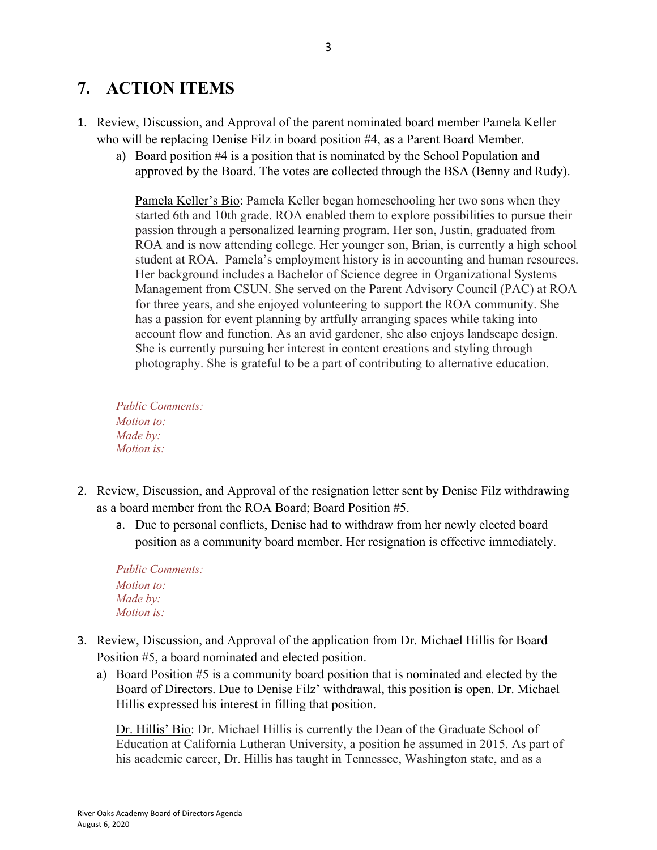# **7. ACTION ITEMS**

- 1. Review, Discussion, and Approval of the parent nominated board member Pamela Keller who will be replacing Denise Filz in board position #4, as a Parent Board Member.
	- a) Board position #4 is a position that is nominated by the School Population and approved by the Board. The votes are collected through the BSA (Benny and Rudy).

Pamela Keller's Bio: Pamela Keller began homeschooling her two sons when they started 6th and 10th grade. ROA enabled them to explore possibilities to pursue their passion through a personalized learning program. Her son, Justin, graduated from ROA and is now attending college. Her younger son, Brian, is currently a high school student at ROA. Pamela's employment history is in accounting and human resources. Her background includes a Bachelor of Science degree in Organizational Systems Management from CSUN. She served on the Parent Advisory Council (PAC) at ROA for three years, and she enjoyed volunteering to support the ROA community. She has a passion for event planning by artfully arranging spaces while taking into account flow and function. As an avid gardener, she also enjoys landscape design. She is currently pursuing her interest in content creations and styling through photography. She is grateful to be a part of contributing to alternative education.

*Public Comments: Motion to: Made by: Motion is:*

- 2. Review, Discussion, and Approval of the resignation letter sent by Denise Filz withdrawing as a board member from the ROA Board; Board Position #5.
	- a. Due to personal conflicts, Denise had to withdraw from her newly elected board position as a community board member. Her resignation is effective immediately.

*Public Comments: Motion to: Made by: Motion is:*

- 3. Review, Discussion, and Approval of the application from Dr. Michael Hillis for Board Position #5, a board nominated and elected position.
	- a) Board Position #5 is a community board position that is nominated and elected by the Board of Directors. Due to Denise Filz' withdrawal, this position is open. Dr. Michael Hillis expressed his interest in filling that position.

Dr. Hillis' Bio: Dr. Michael Hillis is currently the Dean of the Graduate School of Education at California Lutheran University, a position he assumed in 2015. As part of his academic career, Dr. Hillis has taught in Tennessee, Washington state, and as a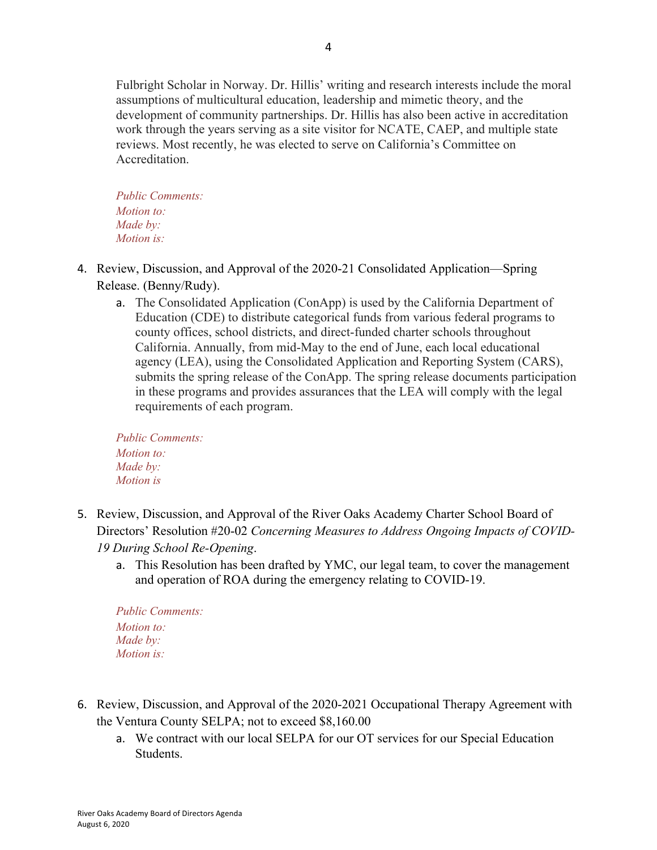Fulbright Scholar in Norway. Dr. Hillis' writing and research interests include the moral assumptions of multicultural education, leadership and mimetic theory, and the development of community partnerships. Dr. Hillis has also been active in accreditation work through the years serving as a site visitor for NCATE, CAEP, and multiple state reviews. Most recently, he was elected to serve on California's Committee on Accreditation.

*Public Comments: Motion to: Made by: Motion is:*

- 4. Review, Discussion, and Approval of the 2020-21 Consolidated Application—Spring Release. (Benny/Rudy).
	- a. The Consolidated Application (ConApp) is used by the California Department of Education (CDE) to distribute categorical funds from various federal programs to county offices, school districts, and direct-funded charter schools throughout California. Annually, from mid-May to the end of June, each local educational agency (LEA), using the Consolidated Application and Reporting System (CARS), submits the spring release of the ConApp. The spring release documents participation in these programs and provides assurances that the LEA will comply with the legal requirements of each program.

*Public Comments: Motion to: Made by: Motion is*

- 5. Review, Discussion, and Approval of the River Oaks Academy Charter School Board of Directors' Resolution #20-02 *Concerning Measures to Address Ongoing Impacts of COVID-19 During School Re-Opening*.
	- a. This Resolution has been drafted by YMC, our legal team, to cover the management and operation of ROA during the emergency relating to COVID-19.

- 6. Review, Discussion, and Approval of the 2020-2021 Occupational Therapy Agreement with the Ventura County SELPA; not to exceed \$8,160.00
	- a. We contract with our local SELPA for our OT services for our Special Education Students.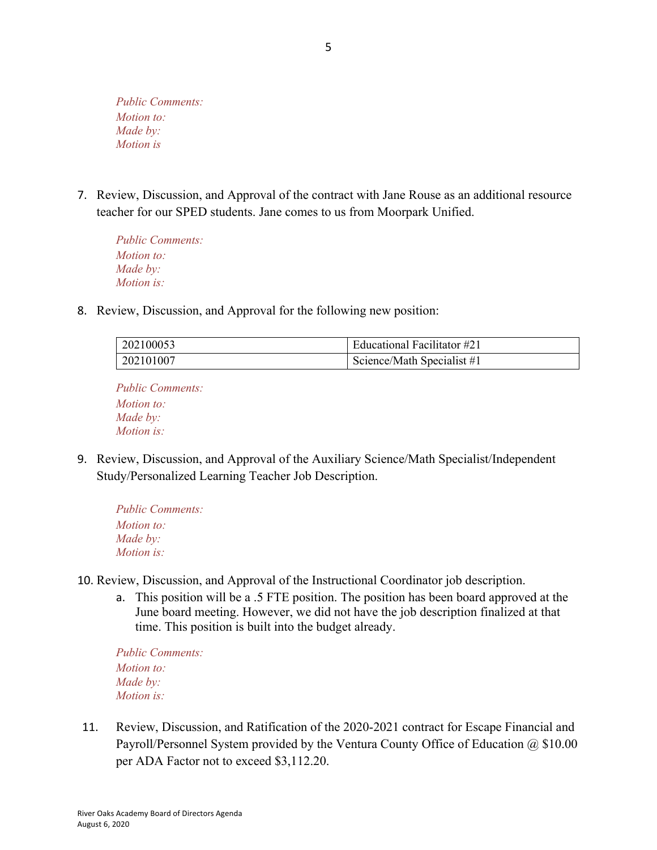7. Review, Discussion, and Approval of the contract with Jane Rouse as an additional resource teacher for our SPED students. Jane comes to us from Moorpark Unified.

*Public Comments: Motion to: Made by: Motion is:*

8. Review, Discussion, and Approval for the following new position:

| 202100053 | Educational Facilitator #21 |
|-----------|-----------------------------|
| 202101007 | Science/Math Specialist #1  |

*Public Comments: Motion to: Made by: Motion is:*

9. Review, Discussion, and Approval of the Auxiliary Science/Math Specialist/Independent Study/Personalized Learning Teacher Job Description.

```
Public Comments:
Motion to:
Made by:
Motion is:
```
- 10. Review, Discussion, and Approval of the Instructional Coordinator job description.
	- a. This position will be a .5 FTE position. The position has been board approved at the June board meeting. However, we did not have the job description finalized at that time. This position is built into the budget already.

```
Public Comments:
Motion to:
Made by:
Motion is:
```
11. Review, Discussion, and Ratification of the 2020-2021 contract for Escape Financial and Payroll/Personnel System provided by the Ventura County Office of Education @ \$10.00 per ADA Factor not to exceed \$3,112.20.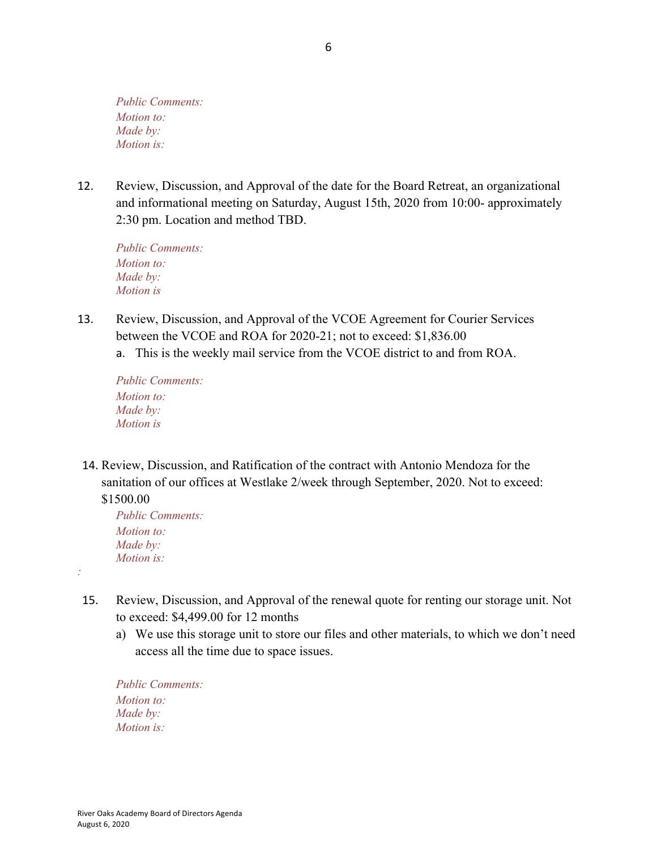12. Review, Discussion, and Approval of the date for the Board Retreat, an organizational and informational meeting on Saturday, August 15th, 2020 from 10:00- approximately 2:30 pm. Location and method TBD.

*Public Comments: Motion to: Made by: Motion is*

- 13. Review, Discussion, and Approval of the VCOE Agreement for Courier Services between the VCOE and ROA for 2020-21; not to exceed: \$1,836.00
	- a. This is the weekly mail service from the VCOE district to and from ROA.

*Public Comments: Motion to: Made by: Motion is*

14. Review, Discussion, and Ratification of the contract with Antonio Mendoza for the sanitation of our offices at Westlake 2/week through September, 2020. Not to exceed:

\$1500.00

*:*

*Public Comments: Motion to: Made by: Motion is:*

- 15. Review, Discussion, and Approval of the renewal quote for renting our storage unit. Not to exceed: \$4,499.00 for 12 months
	- a) We use this storage unit to store our files and other materials, to which we don't need access all the time due to space issues.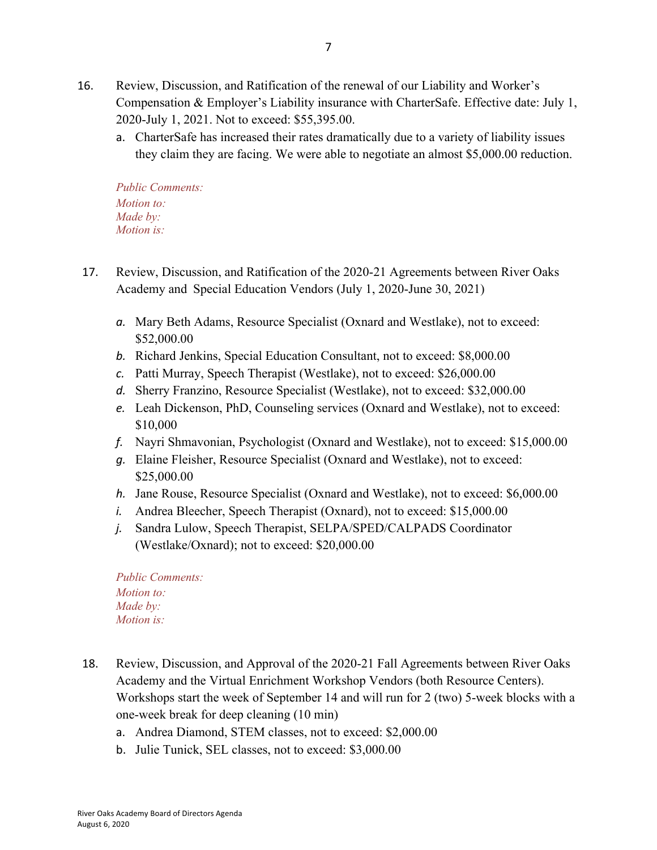- 16. Review, Discussion, and Ratification of the renewal of our Liability and Worker's Compensation & Employer's Liability insurance with CharterSafe. Effective date: July 1, 2020-July 1, 2021. Not to exceed: \$55,395.00.
	- a. CharterSafe has increased their rates dramatically due to a variety of liability issues they claim they are facing. We were able to negotiate an almost \$5,000.00 reduction.

- 17. Review, Discussion, and Ratification of the 2020-21 Agreements between River Oaks Academy and Special Education Vendors (July 1, 2020-June 30, 2021)
	- *a.* Mary Beth Adams, Resource Specialist (Oxnard and Westlake), not to exceed: \$52,000.00
	- *b.* Richard Jenkins, Special Education Consultant, not to exceed: \$8,000.00
	- *c.* Patti Murray, Speech Therapist (Westlake), not to exceed: \$26,000.00
	- *d.* Sherry Franzino, Resource Specialist (Westlake), not to exceed: \$32,000.00
	- *e.* Leah Dickenson, PhD, Counseling services (Oxnard and Westlake), not to exceed: \$10,000
	- *f.* Nayri Shmavonian, Psychologist (Oxnard and Westlake), not to exceed: \$15,000.00
	- *g.* Elaine Fleisher, Resource Specialist (Oxnard and Westlake), not to exceed: \$25,000.00
	- *h.* Jane Rouse, Resource Specialist (Oxnard and Westlake), not to exceed: \$6,000.00
	- *i.* Andrea Bleecher, Speech Therapist (Oxnard), not to exceed: \$15,000.00
	- *j.* Sandra Lulow, Speech Therapist, SELPA/SPED/CALPADS Coordinator (Westlake/Oxnard); not to exceed: \$20,000.00

- 18. Review, Discussion, and Approval of the 2020-21 Fall Agreements between River Oaks Academy and the Virtual Enrichment Workshop Vendors (both Resource Centers). Workshops start the week of September 14 and will run for 2 (two) 5-week blocks with a one-week break for deep cleaning (10 min)
	- a. Andrea Diamond, STEM classes, not to exceed: \$2,000.00
	- b. Julie Tunick, SEL classes, not to exceed: \$3,000.00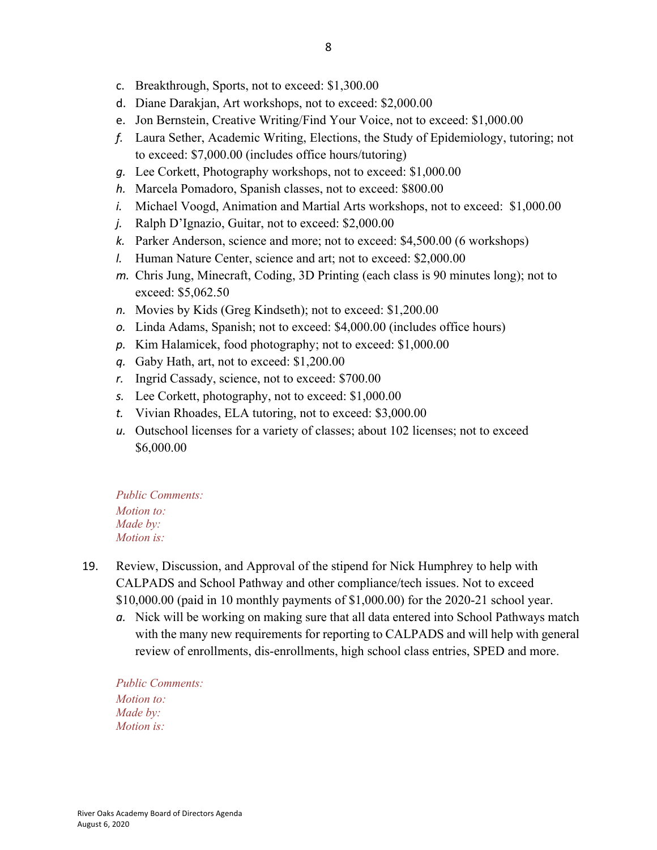- c. Breakthrough, Sports, not to exceed: \$1,300.00
- d. Diane Darakjan, Art workshops, not to exceed: \$2,000.00
- e. Jon Bernstein, Creative Writing/Find Your Voice, not to exceed: \$1,000.00
- *f.* Laura Sether, Academic Writing, Elections, the Study of Epidemiology, tutoring; not to exceed: \$7,000.00 (includes office hours/tutoring)
- *g.* Lee Corkett, Photography workshops, not to exceed: \$1,000.00
- *h.* Marcela Pomadoro, Spanish classes, not to exceed: \$800.00
- *i.* Michael Voogd, Animation and Martial Arts workshops, not to exceed: \$1,000.00
- *j.* Ralph D'Ignazio, Guitar, not to exceed: \$2,000.00
- *k.* Parker Anderson, science and more; not to exceed: \$4,500.00 (6 workshops)
- *l.* Human Nature Center, science and art; not to exceed: \$2,000.00
- *m.* Chris Jung, Minecraft, Coding, 3D Printing (each class is 90 minutes long); not to exceed: \$5,062.50
- *n.* Movies by Kids (Greg Kindseth); not to exceed: \$1,200.00
- *o.* Linda Adams, Spanish; not to exceed: \$4,000.00 (includes office hours)
- *p.* Kim Halamicek, food photography; not to exceed: \$1,000.00
- *q.* Gaby Hath, art, not to exceed: \$1,200.00
- *r.* Ingrid Cassady, science, not to exceed: \$700.00
- *s.* Lee Corkett, photography, not to exceed: \$1,000.00
- *t.* Vivian Rhoades, ELA tutoring, not to exceed: \$3,000.00
- *u.* Outschool licenses for a variety of classes; about 102 licenses; not to exceed \$6,000.00

- 19. Review, Discussion, and Approval of the stipend for Nick Humphrey to help with CALPADS and School Pathway and other compliance/tech issues. Not to exceed \$10,000.00 (paid in 10 monthly payments of \$1,000.00) for the 2020-21 school year.
	- *a.* Nick will be working on making sure that all data entered into School Pathways match with the many new requirements for reporting to CALPADS and will help with general review of enrollments, dis-enrollments, high school class entries, SPED and more.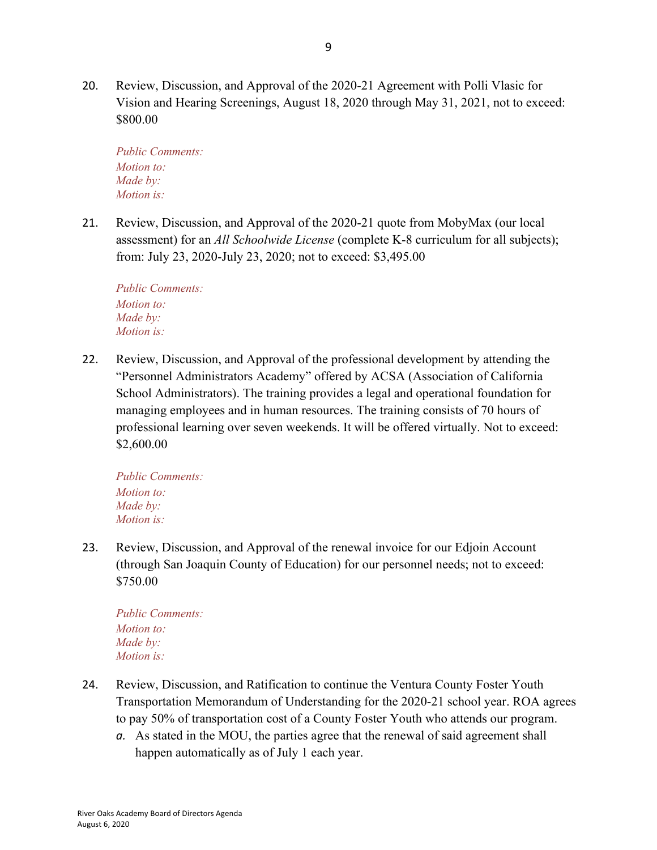20. Review, Discussion, and Approval of the 2020-21 Agreement with Polli Vlasic for Vision and Hearing Screenings, August 18, 2020 through May 31, 2021, not to exceed: \$800.00

*Public Comments: Motion to: Made by: Motion is:*

21. Review, Discussion, and Approval of the 2020-21 quote from MobyMax (our local assessment) for an *All Schoolwide License* (complete K-8 curriculum for all subjects); from: July 23, 2020-July 23, 2020; not to exceed: \$3,495.00

*Public Comments: Motion to: Made by: Motion is:*

22. Review, Discussion, and Approval of the professional development by attending the "Personnel Administrators Academy" offered by ACSA (Association of California School Administrators). The training provides a legal and operational foundation for managing employees and in human resources. The training consists of 70 hours of professional learning over seven weekends. It will be offered virtually. Not to exceed: \$2,600.00

*Public Comments: Motion to: Made by: Motion is:*

23. Review, Discussion, and Approval of the renewal invoice for our Edjoin Account (through San Joaquin County of Education) for our personnel needs; not to exceed: \$750.00

- 24. Review, Discussion, and Ratification to continue the Ventura County Foster Youth Transportation Memorandum of Understanding for the 2020-21 school year. ROA agrees to pay 50% of transportation cost of a County Foster Youth who attends our program.
	- *a.* As stated in the MOU, the parties agree that the renewal of said agreement shall happen automatically as of July 1 each year.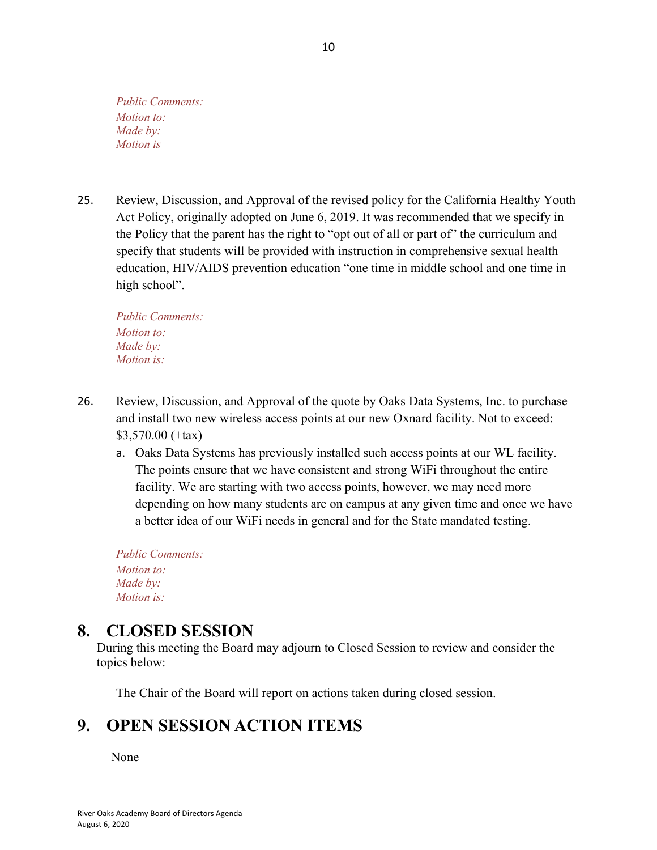25. Review, Discussion, and Approval of the revised policy for the California Healthy Youth Act Policy, originally adopted on June 6, 2019. It was recommended that we specify in the Policy that the parent has the right to "opt out of all or part of" the curriculum and specify that students will be provided with instruction in comprehensive sexual health education, HIV/AIDS prevention education "one time in middle school and one time in high school".

*Public Comments: Motion to: Made by: Motion is:*

- 26. Review, Discussion, and Approval of the quote by Oaks Data Systems, Inc. to purchase and install two new wireless access points at our new Oxnard facility. Not to exceed: \$3,570.00 (+tax)
	- a. Oaks Data Systems has previously installed such access points at our WL facility. The points ensure that we have consistent and strong WiFi throughout the entire facility. We are starting with two access points, however, we may need more depending on how many students are on campus at any given time and once we have a better idea of our WiFi needs in general and for the State mandated testing.

*Public Comments: Motion to: Made by: Motion is:*

#### **8. CLOSED SESSION**

During this meeting the Board may adjourn to Closed Session to review and consider the topics below:

The Chair of the Board will report on actions taken during closed session.

# **9. OPEN SESSION ACTION ITEMS**

None